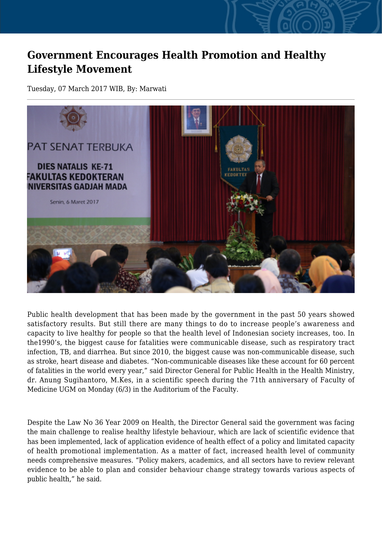## **Government Encourages Health Promotion and Healthy Lifestyle Movement**

Tuesday, 07 March 2017 WIB, By: Marwati



Public health development that has been made by the government in the past 50 years showed satisfactory results. But still there are many things to do to increase people's awareness and capacity to live healthy for people so that the health level of Indonesian society increases, too. In the1990's, the biggest cause for fatalities were communicable disease, such as respiratory tract infection, TB, and diarrhea. But since 2010, the biggest cause was non-communicable disease, such as stroke, heart disease and diabetes. "Non-communicable diseases like these account for 60 percent of fatalities in the world every year," said Director General for Public Health in the Health Ministry, dr. Anung Sugihantoro, M.Kes, in a scientific speech during the 71th anniversary of Faculty of Medicine UGM on Monday (6/3) in the Auditorium of the Faculty.

Despite the Law No 36 Year 2009 on Health, the Director General said the government was facing the main challenge to realise healthy lifestyle behaviour, which are lack of scientific evidence that has been implemented, lack of application evidence of health effect of a policy and limitated capacity of health promotional implementation. As a matter of fact, increased health level of community needs comprehensive measures. "Policy makers, academics, and all sectors have to review relevant evidence to be able to plan and consider behaviour change strategy towards various aspects of public health," he said.